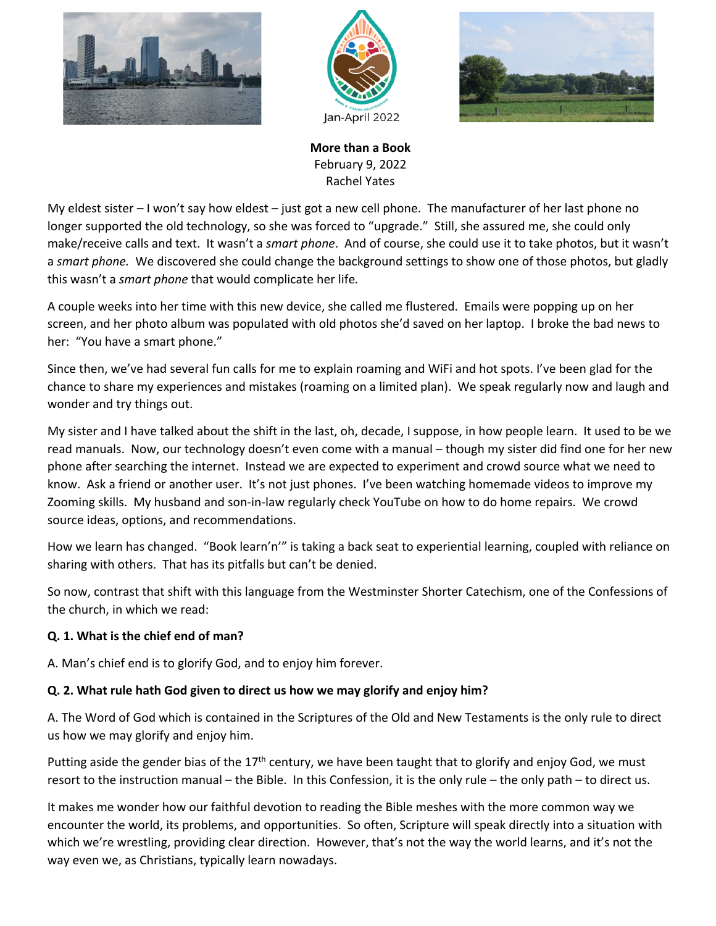





**More than a Book** February 9, 2022 Rachel Yates

My eldest sister – I won't say how eldest – just got a new cell phone. The manufacturer of her last phone no longer supported the old technology, so she was forced to "upgrade." Still, she assured me, she could only make/receive calls and text. It wasn't a *smart phone*. And of course, she could use it to take photos, but it wasn't a *smart phone.* We discovered she could change the background settings to show one of those photos, but gladly this wasn't a *smart phone* that would complicate her life*.*

A couple weeks into her time with this new device, she called me flustered. Emails were popping up on her screen, and her photo album was populated with old photos she'd saved on her laptop. I broke the bad news to her: "You have a smart phone."

Since then, we've had several fun calls for me to explain roaming and WiFi and hot spots. I've been glad for the chance to share my experiences and mistakes (roaming on a limited plan). We speak regularly now and laugh and wonder and try things out.

My sister and I have talked about the shift in the last, oh, decade, I suppose, in how people learn. It used to be we read manuals. Now, our technology doesn't even come with a manual – though my sister did find one for her new phone after searching the internet. Instead we are expected to experiment and crowd source what we need to know. Ask a friend or another user. It's not just phones. I've been watching homemade videos to improve my Zooming skills. My husband and son-in-law regularly check YouTube on how to do home repairs. We crowd source ideas, options, and recommendations.

How we learn has changed. "Book learn'n'" is taking a back seat to experiential learning, coupled with reliance on sharing with others. That has its pitfalls but can't be denied.

So now, contrast that shift with this language from the Westminster Shorter Catechism, one of the Confessions of the church, in which we read:

## **Q. 1. What is the chief end of man?**

A. Man's chief end is to glorify God, and to enjoy him forever.

## **Q. 2. What rule hath God given to direct us how we may glorify and enjoy him?**

A. The Word of God which is contained in the Scriptures of the Old and New Testaments is the only rule to direct us how we may glorify and enjoy him.

Putting aside the gender bias of the  $17<sup>th</sup>$  century, we have been taught that to glorify and enjoy God, we must resort to the instruction manual – the Bible. In this Confession, it is the only rule – the only path – to direct us.

It makes me wonder how our faithful devotion to reading the Bible meshes with the more common way we encounter the world, its problems, and opportunities. So often, Scripture will speak directly into a situation with which we're wrestling, providing clear direction. However, that's not the way the world learns, and it's not the way even we, as Christians, typically learn nowadays.